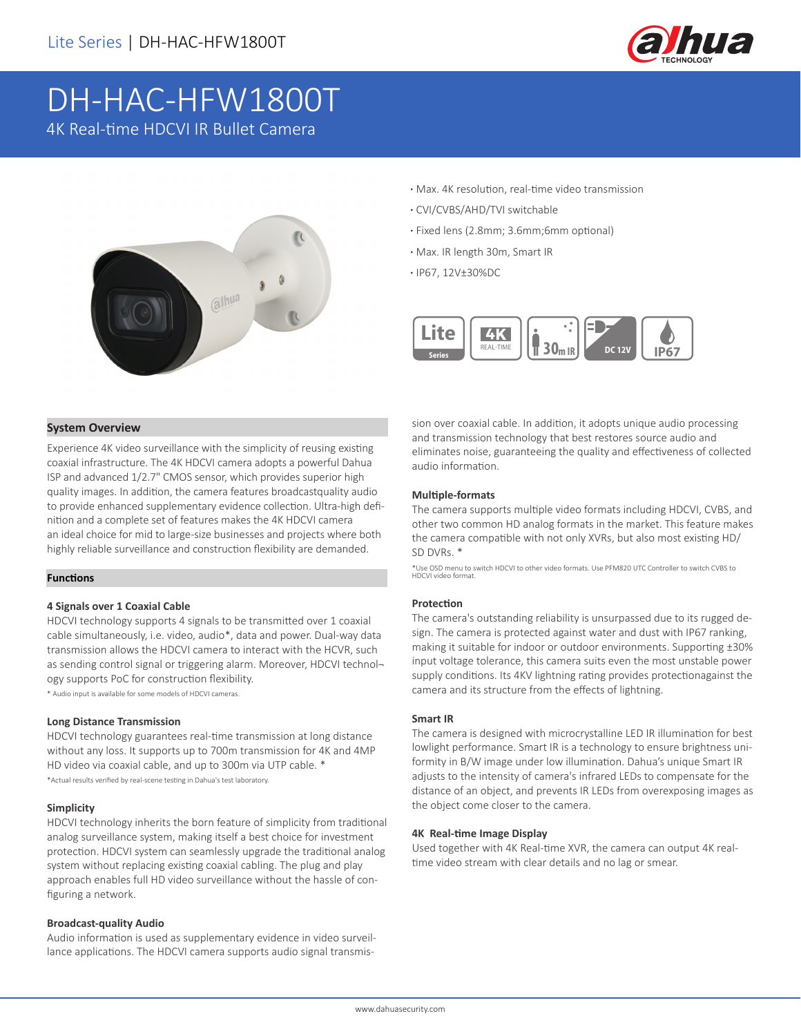

# DH-HAC-HFW1800T 4K Real-time HDCVI IR Bullet Camera



- **·** Max. 4K resolution, real-time video transmission
- **·** CVI/CVBS/AHD/TVI switchable
- **·** Fixed lens (2.8mm; 3.6mm;6mm optional)
- **·** Max. IR length 30m, Smart IR
- **·** IP67, 12V±30%DC



#### **System Overview**

Experience 4K video surveillance with the simplicity of reusing existing coaxial infrastructure. The 4K HDCVI camera adopts a powerful Dahua ISP and advanced 1/2.7" CMOS sensor, which provides superior high quality images. In addition, the camera features broadcastquality audio to provide enhanced supplementary evidence collection. Ultra-high definition and a complete set of features makes the 4K HDCVI camera an ideal choice for mid to large-size businesses and projects where both highly reliable surveillance and construction flexibility are demanded.

#### **Functions**

#### **4 Signals over 1 Coaxial Cable**

HDCVI technology supports 4 signals to be transmitted over 1 coaxial cable simultaneously, i.e. video, audio\*, data and power. Dual-way data transmission allows the HDCVI camera to interact with the HCVR, such as sending control signal or triggering alarm. Moreover, HDCVI technology supports PoC for construction flexibility.

\* Audio input is available for some models of HDCVI cameras.

#### **Long Distance Transmission**

HDCVI technology guarantees real-time transmission at long distance without any loss. It supports up to 700m transmission for 4K and 4MP HD video via coaxial cable, and up to 300m via UTP cable. \* \*Actual results verified by real-scene testing in Dahua's test laboratory.

#### **Simplicity**

HDCVI technology inherits the born feature of simplicity from traditional analog surveillance system, making itself a best choice for investment protection. HDCVI system can seamlessly upgrade the traditional analog system without replacing existing coaxial cabling. The plug and play approach enables full HD video surveillance without the hassle of configuring a network.

#### **Broadcast-quality Audio**

Audio information is used as supplementary evidence in video surveillance applications. The HDCVI camera supports audio signal transmission over coaxial cable. In addition, it adopts unique audio processing and transmission technology that best restores source audio and eliminates noise, guaranteeing the quality and effectiveness of collected audio information.

#### **Multiple-formats**

The camera supports multiple video formats including HDCVI, CVBS, and other two common HD analog formats in the market. This feature makes the camera compatible with not only XVRs, but also most existing HD/ SD DVRs. \*

\*Use OSD menu to switch HDCVI to other video formats. Use PFM820 UTC Controller to switch CVBS to HDCVI video format.

#### **Protection**

The camera's outstanding reliability is unsurpassed due to its rugged design. The camera is protected against water and dust with IP67 ranking, making it suitable for indoor or outdoor environments. Supporting ±30% input voltage tolerance, this camera suits even the most unstable power supply conditions. Its 4KV lightning rating provides protectionagainst the camera and its structure from the effects of lightning.

#### **Smart IR**

The camera is designed with microcrystalline LED IR illumination for best lowlight performance. Smart IR is a technology to ensure brightness uniformity in B/W image under low illumination. Dahua's unique Smart IR adjusts to the intensity of camera's infrared LEDs to compensate for the distance of an object, and prevents IR LEDs from overexposing images as the object come closer to the camera.

#### **4K Real-time Image Display**

Used together with 4K Real-time XVR, the camera can output 4K realtime video stream with clear details and no lag or smear.

www.dahuasecurity.com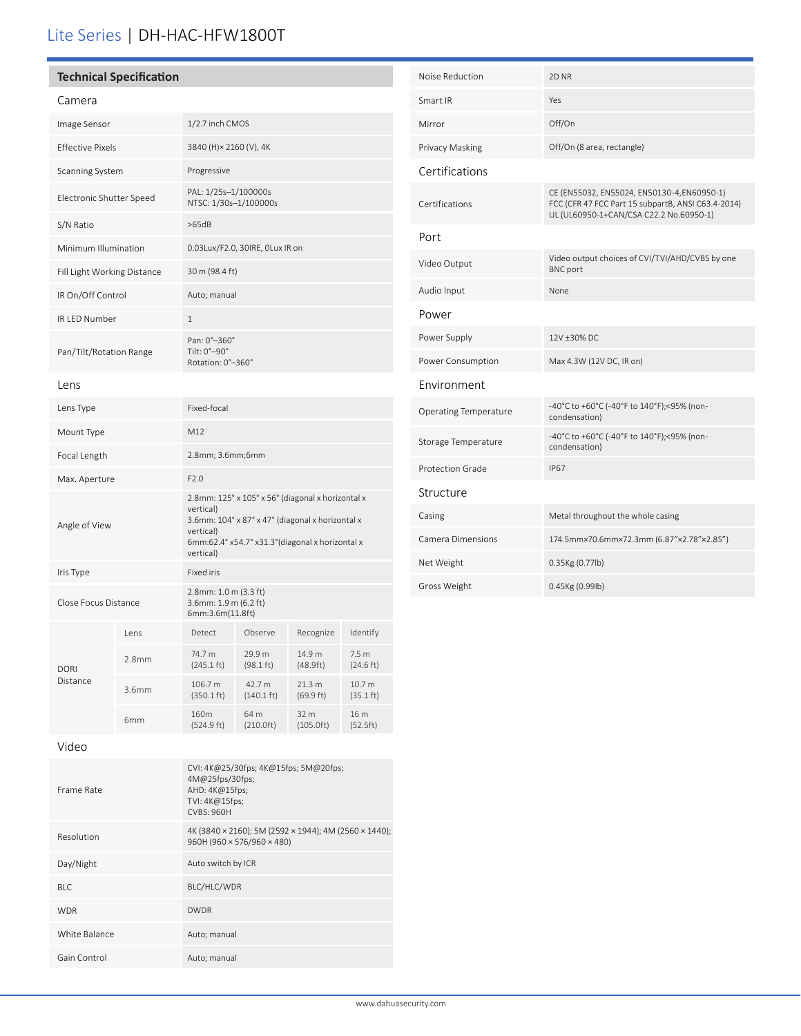# Lite Series | DH-HAC-HFW1800T

| <b>Technical Specification</b> |                   |                                                                                                                                                                                                  |                                |                               |                                         |
|--------------------------------|-------------------|--------------------------------------------------------------------------------------------------------------------------------------------------------------------------------------------------|--------------------------------|-------------------------------|-----------------------------------------|
| Camera                         |                   |                                                                                                                                                                                                  |                                |                               |                                         |
| Image Sensor                   |                   | 1/2.7 inch CMOS                                                                                                                                                                                  |                                |                               |                                         |
| <b>Effective Pixels</b>        |                   | 3840 (H) × 2160 (V), 4K                                                                                                                                                                          |                                |                               |                                         |
| Scanning System                |                   | Progressive                                                                                                                                                                                      |                                |                               |                                         |
| Electronic Shutter Speed       |                   | PAL: 1/25s-1/100000s<br>NTSC: 1/30s-1/100000s                                                                                                                                                    |                                |                               |                                         |
| S/N Ratio                      |                   | >65dB                                                                                                                                                                                            |                                |                               |                                         |
| Minimum Illumination           |                   | 0.03Lux/F2.0, 30IRE, OLux IR on                                                                                                                                                                  |                                |                               |                                         |
| Fill Light Working Distance    |                   | 30 m (98.4 ft)                                                                                                                                                                                   |                                |                               |                                         |
| IR On/Off Control              |                   | Auto; manual                                                                                                                                                                                     |                                |                               |                                         |
| IR LED Number                  |                   | $\mathbf{1}$                                                                                                                                                                                     |                                |                               |                                         |
| Pan/Tilt/Rotation Range        |                   | Pan: 0°-360°<br>Tilt: 0°-90°<br>Rotation: 0°-360°                                                                                                                                                |                                |                               |                                         |
| Lens                           |                   |                                                                                                                                                                                                  |                                |                               |                                         |
| Lens Type                      |                   | Fixed-focal                                                                                                                                                                                      |                                |                               |                                         |
| Mount Type                     |                   | M12                                                                                                                                                                                              |                                |                               |                                         |
| Focal Length                   |                   | 2.8mm; 3.6mm;6mm                                                                                                                                                                                 |                                |                               |                                         |
| Max. Aperture                  |                   | F2.0                                                                                                                                                                                             |                                |                               |                                         |
| Angle of View                  |                   | 2.8mm: 125° x 105° x 56° (diagonal x horizontal x<br>vertical)<br>3.6mm: 104° x 87° x 47° (diagonal x horizontal x<br>vertical)<br>6mm:62.4° x54.7° x31.3° (diagonal x horizontal x<br>vertical) |                                |                               |                                         |
| Iris Type                      |                   | Fixed iris                                                                                                                                                                                       |                                |                               |                                         |
| Close Focus Distance           |                   | 2.8mm: 1.0 m (3.3 ft)<br>3.6mm: 1.9 m (6.2 ft)<br>6mm:3.6m(11.8ft)                                                                                                                               |                                |                               |                                         |
|                                | Lens              | Detect                                                                                                                                                                                           | Observe                        | Recognize                     | Identify                                |
| <b>DORI</b><br>Distance        | 2.8 <sub>mm</sub> | 74.7 m<br>$(245.1 \text{ ft})$                                                                                                                                                                   | 29.9 m<br>$(98.1 \text{ ft})$  | 14.9 m<br>(48.9ft)            | 7.5 <sub>m</sub><br>$(24.6 \text{ ft})$ |
|                                | 3.6mm             | 106.7 m<br>$(350.1 \text{ ft})$                                                                                                                                                                  | 42.7 m<br>$(140.1 \text{ ft})$ | 21.3 m<br>$(69.9 \text{ ft})$ | 10.7 m<br>$(35.1 \text{ ft})$           |
|                                | 6mm               | 160m<br>(524.9 ft)                                                                                                                                                                               | 64 m<br>(210.0ft)              | 32 m<br>(105.0ft)             | 16 m<br>(52.5ft)                        |

| Noise Reduction       | 2D <sub>NR</sub>                                                                                                                             |  |
|-----------------------|----------------------------------------------------------------------------------------------------------------------------------------------|--|
| Smart IR              | Yes                                                                                                                                          |  |
| Mirror                | Off/On                                                                                                                                       |  |
| Privacy Masking       | Off/On (8 area, rectangle)                                                                                                                   |  |
| Certifications        |                                                                                                                                              |  |
| Certifications        | CE (EN55032, EN55024, EN50130-4, EN60950-1)<br>FCC (CFR 47 FCC Part 15 subpartB, ANSI C63.4-2014)<br>UL (UL60950-1+CAN/CSA C22.2 No.60950-1) |  |
| Port                  |                                                                                                                                              |  |
| Video Output          | Video output choices of CVI/TVI/AHD/CVBS by one<br><b>BNC</b> port                                                                           |  |
| Audio Input           | None                                                                                                                                         |  |
| Power                 |                                                                                                                                              |  |
| Power Supply          | 12V ±30% DC                                                                                                                                  |  |
| Power Consumption     | Max 4.3W (12V DC, IR on)                                                                                                                     |  |
| Environment           |                                                                                                                                              |  |
| Operating Temperature | -40°C to +60°C (-40°F to 140°F);<95% (non-<br>condensation)                                                                                  |  |
| Storage Temperature   | -40°C to +60°C (-40°F to 140°F);<95% (non-<br>condensation)                                                                                  |  |
| Protection Grade      | <b>IP67</b>                                                                                                                                  |  |
| Structure             |                                                                                                                                              |  |
| Casing                | Metal throughout the whole casing                                                                                                            |  |
| Camera Dimensions     | 174.5mm×70.6mm×72.3mm (6.87"×2.78"×2.85")                                                                                                    |  |
| Net Weight            | 0.35Kg (0.77lb)                                                                                                                              |  |
| Gross Weight          | 0.45Kg (0.99lb)                                                                                                                              |  |

# Video

| Frame Rate    | CVI: 4K@25/30fps; 4K@15fps; 5M@20fps;<br>4M@25fps/30fps;<br>AHD: 4K@15fps;<br>TVI: 4K@15fps;<br><b>CVBS: 960H</b> |
|---------------|-------------------------------------------------------------------------------------------------------------------|
| Resolution    | 4K (3840 x 2160); 5M (2592 x 1944); 4M (2560 x 1440);<br>960H (960 × 576/960 × 480)                               |
| Day/Night     | Auto switch by ICR                                                                                                |
| BI C          | BLC/HLC/WDR                                                                                                       |
| <b>WDR</b>    | <b>DWDR</b>                                                                                                       |
| White Balance | Auto; manual                                                                                                      |
| Gain Control  | Auto; manual                                                                                                      |

(524.9 ft)

(210.0ft)

(105.0ft)

(52.5ft)